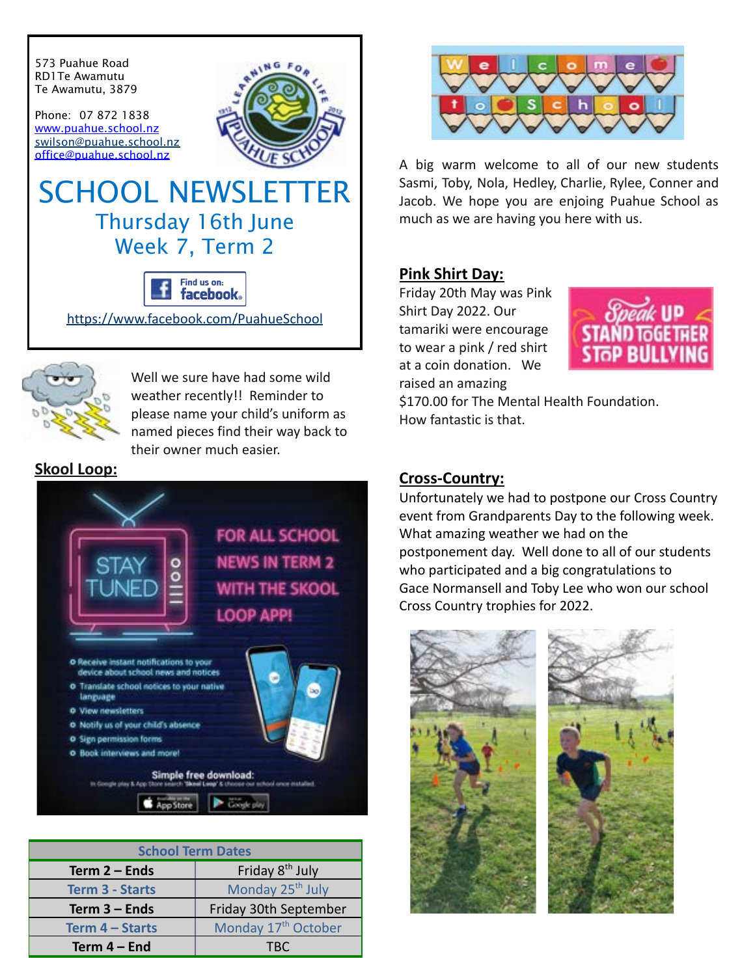

<https://www.facebook.com/PuahueSchool>



Well we sure have had some wild weather recently!! Reminder to please name your child's uniform as named pieces find their way back to their owner much easier.

**Skool Loop:**



| <b>School Term Dates</b> |                                 |
|--------------------------|---------------------------------|
| Term 2 - Ends            | Friday 8 <sup>th</sup> July     |
| <b>Term 3 - Starts</b>   | Monday 25 <sup>th</sup> July    |
| Term $3$ – Ends          | Friday 30th September           |
| Term 4 - Starts          | Monday 17 <sup>th</sup> October |
| Term $4 - End$           | TRC.                            |



A big warm welcome to all of our new students Sasmi, Toby, Nola, Hedley, Charlie, Rylee, Conner and Jacob. We hope you are enjoing Puahue School as much as we are having you here with us.

### **Pink Shirt Day:**

Friday 20th May was Pink Shirt Day 2022. Our tamariki were encourage to wear a pink / red shirt at a coin donation. We raised an amazing



\$170.00 for The Mental Health Foundation. How fantastic is that.

### **Cross-Country:**

Unfortunately we had to postpone our Cross Country event from Grandparents Day to the following week. What amazing weather we had on the postponement day. Well done to all of our students who participated and a big congratulations to Gace Normansell and Toby Lee who won our school Cross Country trophies for 2022.

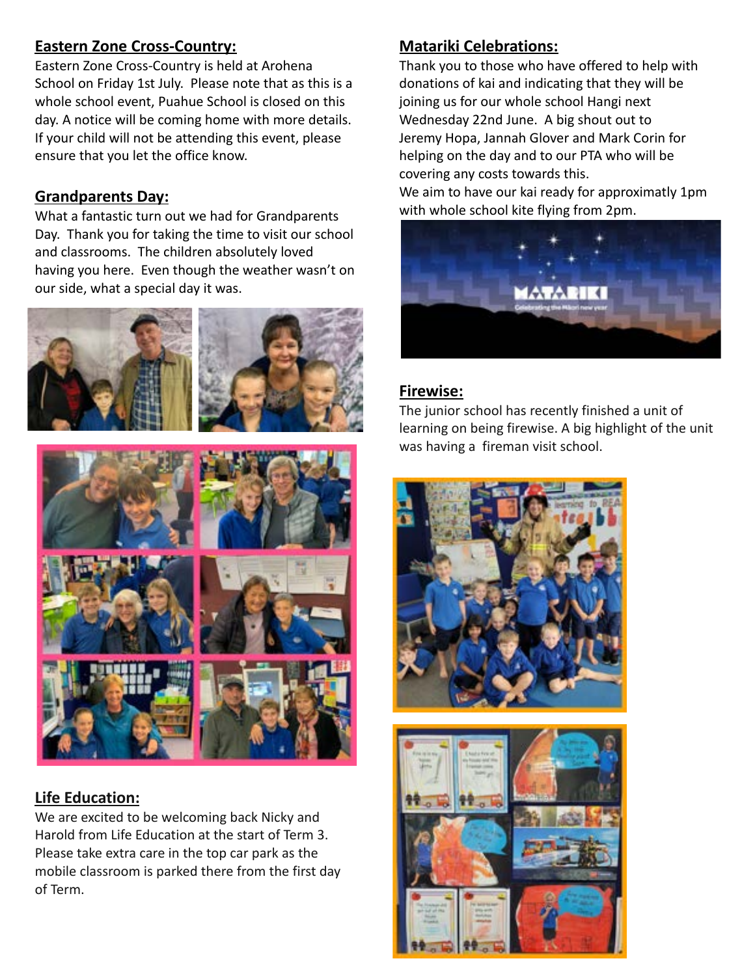# **Eastern Zone Cross-Country:**

Eastern Zone Cross-Country is held at Arohena School on Friday 1st July. Please note that as this is a whole school event, Puahue School is closed on this day. A notice will be coming home with more details. If your child will not be attending this event, please ensure that you let the office know.

### **Grandparents Day:**

What a fantastic turn out we had for Grandparents Day. Thank you for taking the time to visit our school and classrooms. The children absolutely loved having you here. Even though the weather wasn't on our side, what a special day it was.





# **Life Education:**

We are excited to be welcoming back Nicky and Harold from Life Education at the start of Term 3. Please take extra care in the top car park as the mobile classroom is parked there from the first day of Term.

# **Matariki Celebrations:**

Thank you to those who have offered to help with donations of kai and indicating that they will be joining us for our whole school Hangi next Wednesday 22nd June. A big shout out to Jeremy Hopa, Jannah Glover and Mark Corin for helping on the day and to our PTA who will be covering any costs towards this.

We aim to have our kai ready for approximatly 1pm with whole school kite flying from 2pm.



# **Firewise:**

The junior school has recently finished a unit of learning on being firewise. A big highlight of the unit was having a fireman visit school.